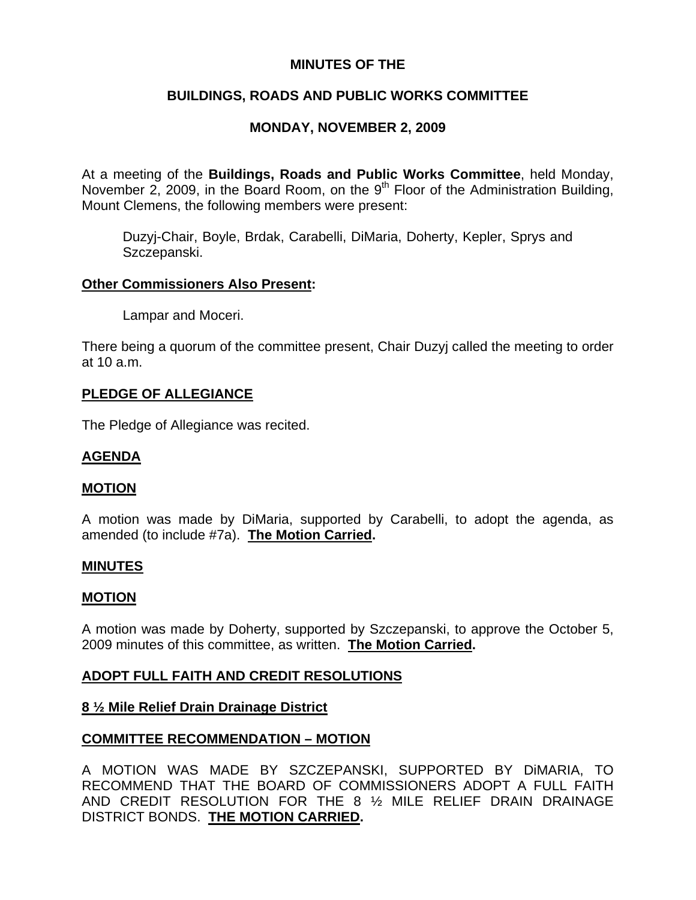# **MINUTES OF THE**

# **BUILDINGS, ROADS AND PUBLIC WORKS COMMITTEE**

# **MONDAY, NOVEMBER 2, 2009**

At a meeting of the **Buildings, Roads and Public Works Committee**, held Monday, November 2, 2009, in the Board Room, on the  $9<sup>th</sup>$  Floor of the Administration Building, Mount Clemens, the following members were present:

Duzyj-Chair, Boyle, Brdak, Carabelli, DiMaria, Doherty, Kepler, Sprys and Szczepanski.

#### **Other Commissioners Also Present:**

Lampar and Moceri.

There being a quorum of the committee present, Chair Duzyj called the meeting to order at 10 a.m.

### **PLEDGE OF ALLEGIANCE**

The Pledge of Allegiance was recited.

# **AGENDA**

#### **MOTION**

A motion was made by DiMaria, supported by Carabelli, to adopt the agenda, as amended (to include #7a). **The Motion Carried.** 

#### **MINUTES**

#### **MOTION**

A motion was made by Doherty, supported by Szczepanski, to approve the October 5, 2009 minutes of this committee, as written. **The Motion Carried.** 

# **ADOPT FULL FAITH AND CREDIT RESOLUTIONS**

#### **8 ½ Mile Relief Drain Drainage District**

# **COMMITTEE RECOMMENDATION – MOTION**

A MOTION WAS MADE BY SZCZEPANSKI, SUPPORTED BY DiMARIA, TO RECOMMEND THAT THE BOARD OF COMMISSIONERS ADOPT A FULL FAITH AND CREDIT RESOLUTION FOR THE 8 ½ MILE RELIEF DRAIN DRAINAGE DISTRICT BONDS. **THE MOTION CARRIED.**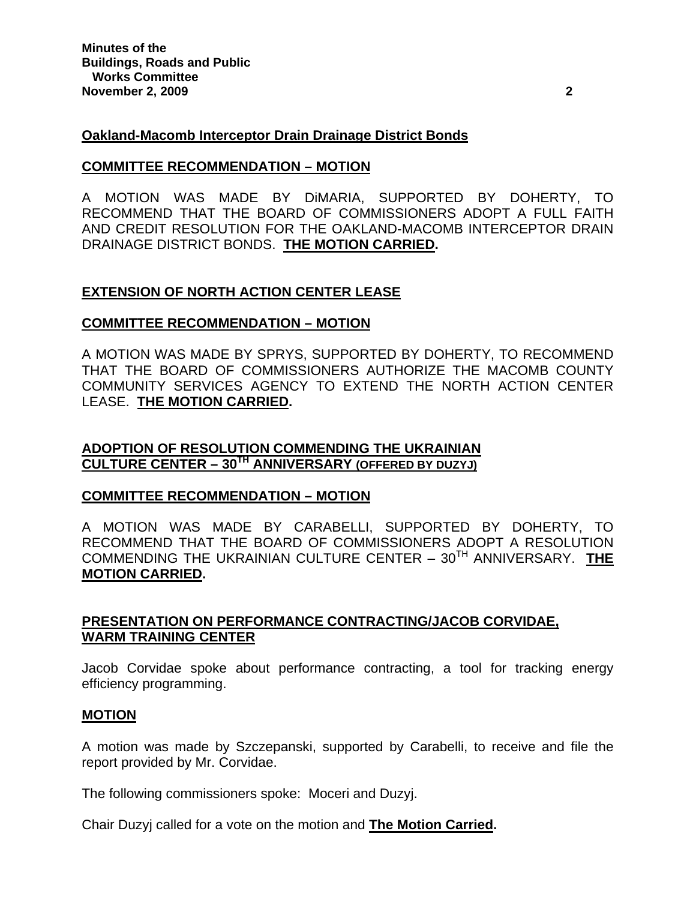### **Oakland-Macomb Interceptor Drain Drainage District Bonds**

#### **COMMITTEE RECOMMENDATION – MOTION**

A MOTION WAS MADE BY DiMARIA, SUPPORTED BY DOHERTY, TO RECOMMEND THAT THE BOARD OF COMMISSIONERS ADOPT A FULL FAITH AND CREDIT RESOLUTION FOR THE OAKLAND-MACOMB INTERCEPTOR DRAIN DRAINAGE DISTRICT BONDS. **THE MOTION CARRIED.** 

#### **EXTENSION OF NORTH ACTION CENTER LEASE**

#### **COMMITTEE RECOMMENDATION – MOTION**

A MOTION WAS MADE BY SPRYS, SUPPORTED BY DOHERTY, TO RECOMMEND THAT THE BOARD OF COMMISSIONERS AUTHORIZE THE MACOMB COUNTY COMMUNITY SERVICES AGENCY TO EXTEND THE NORTH ACTION CENTER LEASE. **THE MOTION CARRIED.** 

### **ADOPTION OF RESOLUTION COMMENDING THE UKRAINIAN CULTURE CENTER – 30TH ANNIVERSARY (OFFERED BY DUZYJ)**

#### **COMMITTEE RECOMMENDATION – MOTION**

A MOTION WAS MADE BY CARABELLI, SUPPORTED BY DOHERTY, TO RECOMMEND THAT THE BOARD OF COMMISSIONERS ADOPT A RESOLUTION COMMENDING THE UKRAINIAN CULTURE CENTER – 30TH ANNIVERSARY. **THE MOTION CARRIED.** 

### **PRESENTATION ON PERFORMANCE CONTRACTING/JACOB CORVIDAE, WARM TRAINING CENTER**

Jacob Corvidae spoke about performance contracting, a tool for tracking energy efficiency programming.

#### **MOTION**

A motion was made by Szczepanski, supported by Carabelli, to receive and file the report provided by Mr. Corvidae.

The following commissioners spoke: Moceri and Duzyj.

Chair Duzyj called for a vote on the motion and **The Motion Carried.**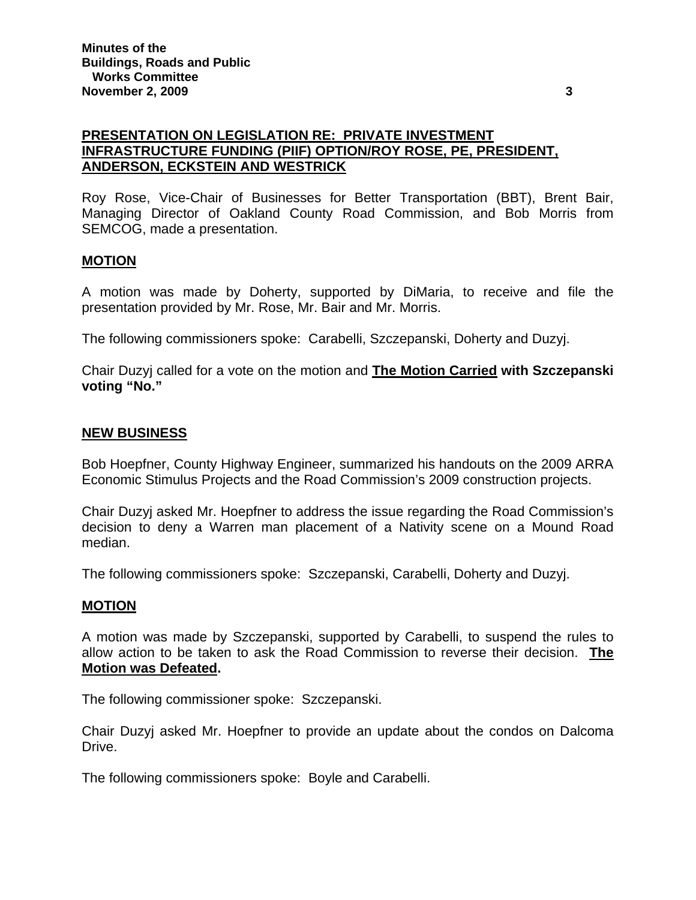# **PRESENTATION ON LEGISLATION RE: PRIVATE INVESTMENT INFRASTRUCTURE FUNDING (PIIF) OPTION/ROY ROSE, PE, PRESIDENT, ANDERSON, ECKSTEIN AND WESTRICK**

Roy Rose, Vice-Chair of Businesses for Better Transportation (BBT), Brent Bair, Managing Director of Oakland County Road Commission, and Bob Morris from SEMCOG, made a presentation.

### **MOTION**

A motion was made by Doherty, supported by DiMaria, to receive and file the presentation provided by Mr. Rose, Mr. Bair and Mr. Morris.

The following commissioners spoke: Carabelli, Szczepanski, Doherty and Duzyj.

Chair Duzyj called for a vote on the motion and **The Motion Carried with Szczepanski voting "No."** 

#### **NEW BUSINESS**

Bob Hoepfner, County Highway Engineer, summarized his handouts on the 2009 ARRA Economic Stimulus Projects and the Road Commission's 2009 construction projects.

Chair Duzyj asked Mr. Hoepfner to address the issue regarding the Road Commission's decision to deny a Warren man placement of a Nativity scene on a Mound Road median.

The following commissioners spoke: Szczepanski, Carabelli, Doherty and Duzyj.

#### **MOTION**

A motion was made by Szczepanski, supported by Carabelli, to suspend the rules to allow action to be taken to ask the Road Commission to reverse their decision. **The Motion was Defeated.** 

The following commissioner spoke: Szczepanski.

Chair Duzyj asked Mr. Hoepfner to provide an update about the condos on Dalcoma Drive.

The following commissioners spoke: Boyle and Carabelli.